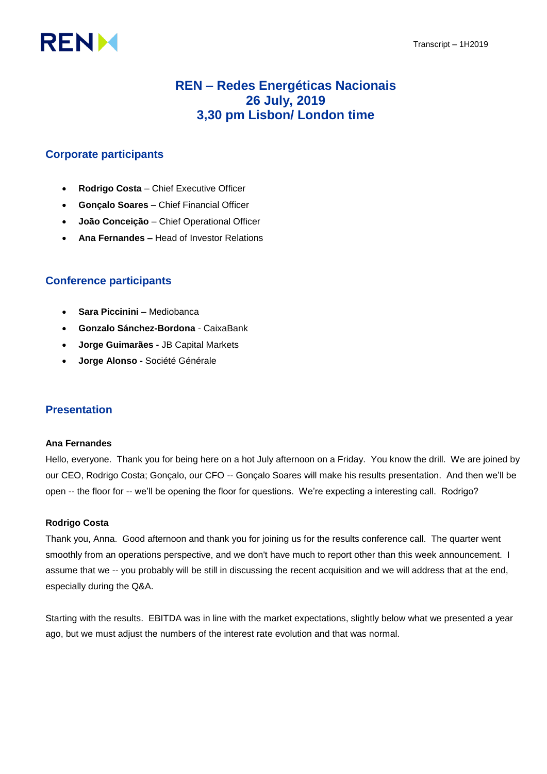# **RENM**

# **REN – Redes Energéticas Nacionais 26 July, 2019 3,30 pm Lisbon/ London time**

# **Corporate participants**

- **Rodrigo Costa**  Chief Executive Officer
- **Gonçalo Soares**  Chief Financial Officer
- **João Conceição**  Chief Operational Officer
- **Ana Fernandes –** Head of Investor Relations

# **Conference participants**

- **Sara Piccinini** Mediobanca
- **Gonzalo Sánchez-Bordona** CaixaBank
- **Jorge Guimarães -** JB Capital Markets
- **Jorge Alonso -** Société Générale

## **Presentation**

#### **Ana Fernandes**

Hello, everyone. Thank you for being here on a hot July afternoon on a Friday. You know the drill. We are joined by our CEO, Rodrigo Costa; Gonçalo, our CFO -- Gonçalo Soares will make his results presentation. And then we'll be open -- the floor for -- we'll be opening the floor for questions. We're expecting a interesting call. Rodrigo?

## **Rodrigo Costa**

Thank you, Anna. Good afternoon and thank you for joining us for the results conference call. The quarter went smoothly from an operations perspective, and we don't have much to report other than this week announcement. I assume that we -- you probably will be still in discussing the recent acquisition and we will address that at the end, especially during the Q&A.

Starting with the results. EBITDA was in line with the market expectations, slightly below what we presented a year ago, but we must adjust the numbers of the interest rate evolution and that was normal.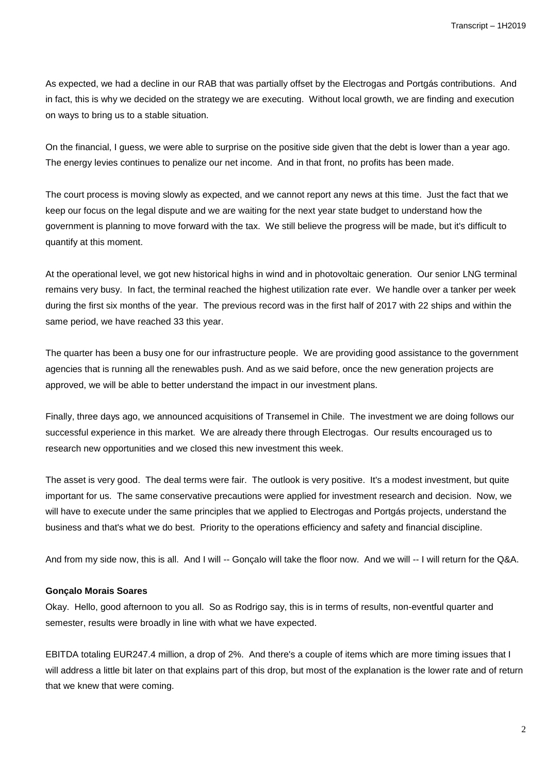As expected, we had a decline in our RAB that was partially offset by the Electrogas and Portgás contributions. And in fact, this is why we decided on the strategy we are executing. Without local growth, we are finding and execution on ways to bring us to a stable situation.

On the financial, I guess, we were able to surprise on the positive side given that the debt is lower than a year ago. The energy levies continues to penalize our net income. And in that front, no profits has been made.

The court process is moving slowly as expected, and we cannot report any news at this time. Just the fact that we keep our focus on the legal dispute and we are waiting for the next year state budget to understand how the government is planning to move forward with the tax. We still believe the progress will be made, but it's difficult to quantify at this moment.

At the operational level, we got new historical highs in wind and in photovoltaic generation. Our senior LNG terminal remains very busy. In fact, the terminal reached the highest utilization rate ever. We handle over a tanker per week during the first six months of the year. The previous record was in the first half of 2017 with 22 ships and within the same period, we have reached 33 this year.

The quarter has been a busy one for our infrastructure people. We are providing good assistance to the government agencies that is running all the renewables push. And as we said before, once the new generation projects are approved, we will be able to better understand the impact in our investment plans.

Finally, three days ago, we announced acquisitions of Transemel in Chile. The investment we are doing follows our successful experience in this market. We are already there through Electrogas. Our results encouraged us to research new opportunities and we closed this new investment this week.

The asset is very good. The deal terms were fair. The outlook is very positive. It's a modest investment, but quite important for us. The same conservative precautions were applied for investment research and decision. Now, we will have to execute under the same principles that we applied to Electrogas and Portgás projects, understand the business and that's what we do best. Priority to the operations efficiency and safety and financial discipline.

And from my side now, this is all. And I will -- Gonçalo will take the floor now. And we will -- I will return for the Q&A.

## **Gonçalo Morais Soares**

Okay. Hello, good afternoon to you all. So as Rodrigo say, this is in terms of results, non-eventful quarter and semester, results were broadly in line with what we have expected.

EBITDA totaling EUR247.4 million, a drop of 2%. And there's a couple of items which are more timing issues that I will address a little bit later on that explains part of this drop, but most of the explanation is the lower rate and of return that we knew that were coming.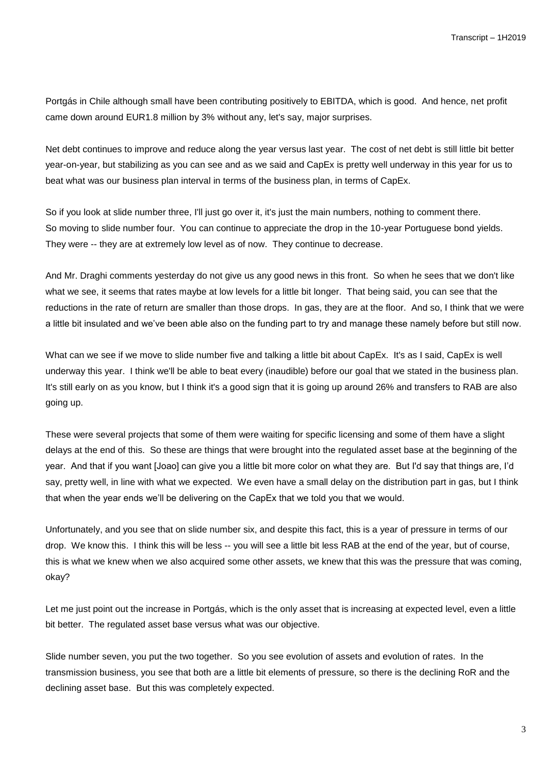Portgás in Chile although small have been contributing positively to EBITDA, which is good. And hence, net profit came down around EUR1.8 million by 3% without any, let's say, major surprises.

Net debt continues to improve and reduce along the year versus last year. The cost of net debt is still little bit better year-on-year, but stabilizing as you can see and as we said and CapEx is pretty well underway in this year for us to beat what was our business plan interval in terms of the business plan, in terms of CapEx.

So if you look at slide number three, I'll just go over it, it's just the main numbers, nothing to comment there. So moving to slide number four. You can continue to appreciate the drop in the 10-year Portuguese bond yields. They were -- they are at extremely low level as of now. They continue to decrease.

And Mr. Draghi comments yesterday do not give us any good news in this front. So when he sees that we don't like what we see, it seems that rates maybe at low levels for a little bit longer. That being said, you can see that the reductions in the rate of return are smaller than those drops. In gas, they are at the floor. And so, I think that we were a little bit insulated and we've been able also on the funding part to try and manage these namely before but still now.

What can we see if we move to slide number five and talking a little bit about CapEx. It's as I said, CapEx is well underway this year. I think we'll be able to beat every (inaudible) before our goal that we stated in the business plan. It's still early on as you know, but I think it's a good sign that it is going up around 26% and transfers to RAB are also going up.

These were several projects that some of them were waiting for specific licensing and some of them have a slight delays at the end of this. So these are things that were brought into the regulated asset base at the beginning of the year. And that if you want [Joao] can give you a little bit more color on what they are. But I'd say that things are, I'd say, pretty well, in line with what we expected. We even have a small delay on the distribution part in gas, but I think that when the year ends we'll be delivering on the CapEx that we told you that we would.

Unfortunately, and you see that on slide number six, and despite this fact, this is a year of pressure in terms of our drop. We know this. I think this will be less -- you will see a little bit less RAB at the end of the year, but of course, this is what we knew when we also acquired some other assets, we knew that this was the pressure that was coming, okay?

Let me just point out the increase in Portgás, which is the only asset that is increasing at expected level, even a little bit better. The regulated asset base versus what was our objective.

Slide number seven, you put the two together. So you see evolution of assets and evolution of rates. In the transmission business, you see that both are a little bit elements of pressure, so there is the declining RoR and the declining asset base. But this was completely expected.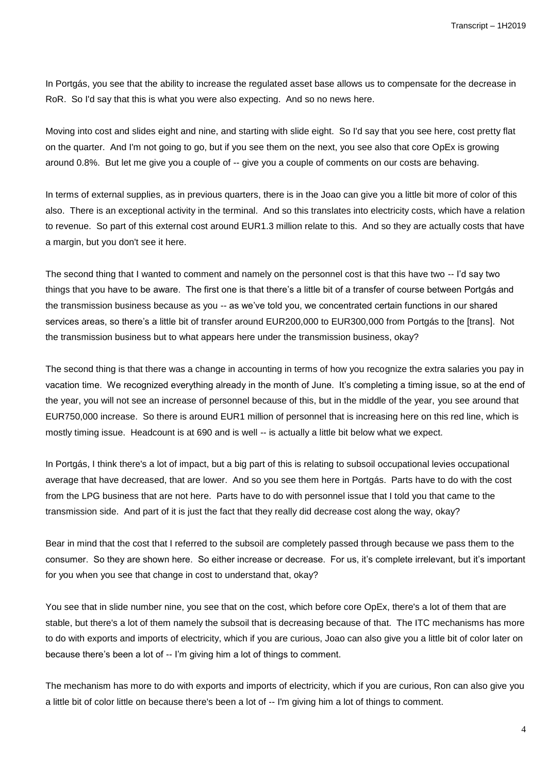In Portgás, you see that the ability to increase the regulated asset base allows us to compensate for the decrease in RoR. So I'd say that this is what you were also expecting. And so no news here.

Moving into cost and slides eight and nine, and starting with slide eight. So I'd say that you see here, cost pretty flat on the quarter. And I'm not going to go, but if you see them on the next, you see also that core OpEx is growing around 0.8%. But let me give you a couple of -- give you a couple of comments on our costs are behaving.

In terms of external supplies, as in previous quarters, there is in the Joao can give you a little bit more of color of this also. There is an exceptional activity in the terminal. And so this translates into electricity costs, which have a relation to revenue. So part of this external cost around EUR1.3 million relate to this. And so they are actually costs that have a margin, but you don't see it here.

The second thing that I wanted to comment and namely on the personnel cost is that this have two -- I'd say two things that you have to be aware. The first one is that there's a little bit of a transfer of course between Portgás and the transmission business because as you -- as we've told you, we concentrated certain functions in our shared services areas, so there's a little bit of transfer around EUR200,000 to EUR300,000 from Portgás to the [trans]. Not the transmission business but to what appears here under the transmission business, okay?

The second thing is that there was a change in accounting in terms of how you recognize the extra salaries you pay in vacation time. We recognized everything already in the month of June. It's completing a timing issue, so at the end of the year, you will not see an increase of personnel because of this, but in the middle of the year, you see around that EUR750,000 increase. So there is around EUR1 million of personnel that is increasing here on this red line, which is mostly timing issue. Headcount is at 690 and is well -- is actually a little bit below what we expect.

In Portgás, I think there's a lot of impact, but a big part of this is relating to subsoil occupational levies occupational average that have decreased, that are lower. And so you see them here in Portgás. Parts have to do with the cost from the LPG business that are not here. Parts have to do with personnel issue that I told you that came to the transmission side. And part of it is just the fact that they really did decrease cost along the way, okay?

Bear in mind that the cost that I referred to the subsoil are completely passed through because we pass them to the consumer. So they are shown here. So either increase or decrease. For us, it's complete irrelevant, but it's important for you when you see that change in cost to understand that, okay?

You see that in slide number nine, you see that on the cost, which before core OpEx, there's a lot of them that are stable, but there's a lot of them namely the subsoil that is decreasing because of that. The ITC mechanisms has more to do with exports and imports of electricity, which if you are curious, Joao can also give you a little bit of color later on because there's been a lot of -- I'm giving him a lot of things to comment.

The mechanism has more to do with exports and imports of electricity, which if you are curious, Ron can also give you a little bit of color little on because there's been a lot of -- I'm giving him a lot of things to comment.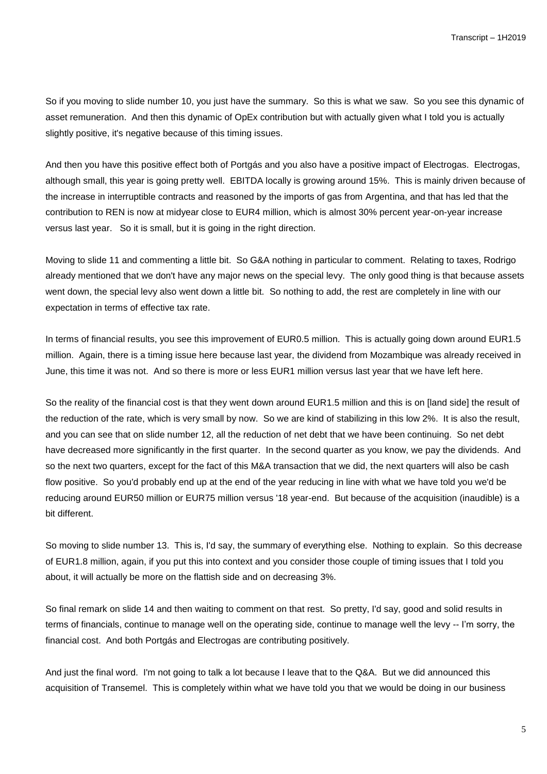So if you moving to slide number 10, you just have the summary. So this is what we saw. So you see this dynamic of asset remuneration. And then this dynamic of OpEx contribution but with actually given what I told you is actually slightly positive, it's negative because of this timing issues.

And then you have this positive effect both of Portgás and you also have a positive impact of Electrogas. Electrogas, although small, this year is going pretty well. EBITDA locally is growing around 15%. This is mainly driven because of the increase in interruptible contracts and reasoned by the imports of gas from Argentina, and that has led that the contribution to REN is now at midyear close to EUR4 million, which is almost 30% percent year-on-year increase versus last year. So it is small, but it is going in the right direction.

Moving to slide 11 and commenting a little bit. So G&A nothing in particular to comment. Relating to taxes, Rodrigo already mentioned that we don't have any major news on the special levy. The only good thing is that because assets went down, the special levy also went down a little bit. So nothing to add, the rest are completely in line with our expectation in terms of effective tax rate.

In terms of financial results, you see this improvement of EUR0.5 million. This is actually going down around EUR1.5 million. Again, there is a timing issue here because last year, the dividend from Mozambique was already received in June, this time it was not. And so there is more or less EUR1 million versus last year that we have left here.

So the reality of the financial cost is that they went down around EUR1.5 million and this is on [land side] the result of the reduction of the rate, which is very small by now. So we are kind of stabilizing in this low 2%. It is also the result, and you can see that on slide number 12, all the reduction of net debt that we have been continuing. So net debt have decreased more significantly in the first quarter. In the second quarter as you know, we pay the dividends. And so the next two quarters, except for the fact of this M&A transaction that we did, the next quarters will also be cash flow positive. So you'd probably end up at the end of the year reducing in line with what we have told you we'd be reducing around EUR50 million or EUR75 million versus '18 year-end. But because of the acquisition (inaudible) is a bit different.

So moving to slide number 13. This is, I'd say, the summary of everything else. Nothing to explain. So this decrease of EUR1.8 million, again, if you put this into context and you consider those couple of timing issues that I told you about, it will actually be more on the flattish side and on decreasing 3%.

So final remark on slide 14 and then waiting to comment on that rest. So pretty, I'd say, good and solid results in terms of financials, continue to manage well on the operating side, continue to manage well the levy -- I'm sorry, the financial cost. And both Portgás and Electrogas are contributing positively.

And just the final word. I'm not going to talk a lot because I leave that to the Q&A. But we did announced this acquisition of Transemel. This is completely within what we have told you that we would be doing in our business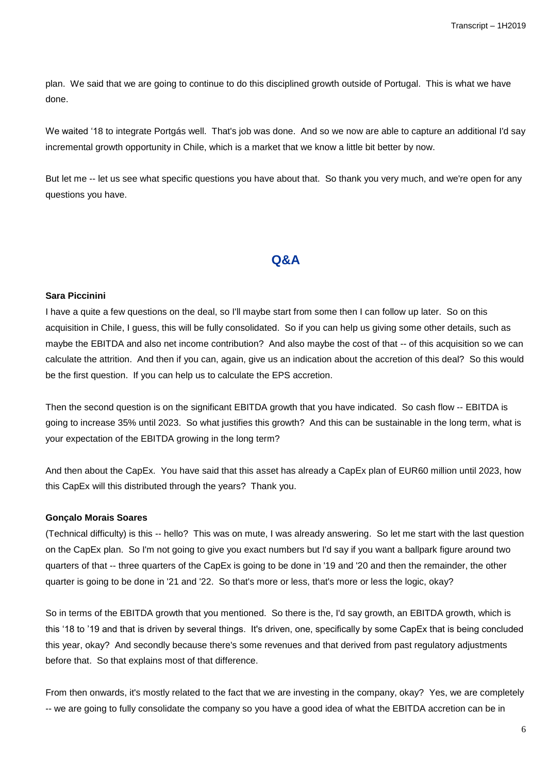plan. We said that we are going to continue to do this disciplined growth outside of Portugal. This is what we have done.

We waited '18 to integrate Portgás well. That's job was done. And so we now are able to capture an additional I'd say incremental growth opportunity in Chile, which is a market that we know a little bit better by now.

But let me -- let us see what specific questions you have about that. So thank you very much, and we're open for any questions you have.

## **Q&A**

#### **Sara Piccinini**

I have a quite a few questions on the deal, so I'll maybe start from some then I can follow up later. So on this acquisition in Chile, I guess, this will be fully consolidated. So if you can help us giving some other details, such as maybe the EBITDA and also net income contribution? And also maybe the cost of that -- of this acquisition so we can calculate the attrition. And then if you can, again, give us an indication about the accretion of this deal? So this would be the first question. If you can help us to calculate the EPS accretion.

Then the second question is on the significant EBITDA growth that you have indicated. So cash flow -- EBITDA is going to increase 35% until 2023. So what justifies this growth? And this can be sustainable in the long term, what is your expectation of the EBITDA growing in the long term?

And then about the CapEx. You have said that this asset has already a CapEx plan of EUR60 million until 2023, how this CapEx will this distributed through the years? Thank you.

#### **Gonçalo Morais Soares**

(Technical difficulty) is this -- hello? This was on mute, I was already answering. So let me start with the last question on the CapEx plan. So I'm not going to give you exact numbers but I'd say if you want a ballpark figure around two quarters of that -- three quarters of the CapEx is going to be done in '19 and '20 and then the remainder, the other quarter is going to be done in '21 and '22. So that's more or less, that's more or less the logic, okay?

So in terms of the EBITDA growth that you mentioned. So there is the, I'd say growth, an EBITDA growth, which is this '18 to '19 and that is driven by several things. It's driven, one, specifically by some CapEx that is being concluded this year, okay? And secondly because there's some revenues and that derived from past regulatory adjustments before that. So that explains most of that difference.

From then onwards, it's mostly related to the fact that we are investing in the company, okay? Yes, we are completely -- we are going to fully consolidate the company so you have a good idea of what the EBITDA accretion can be in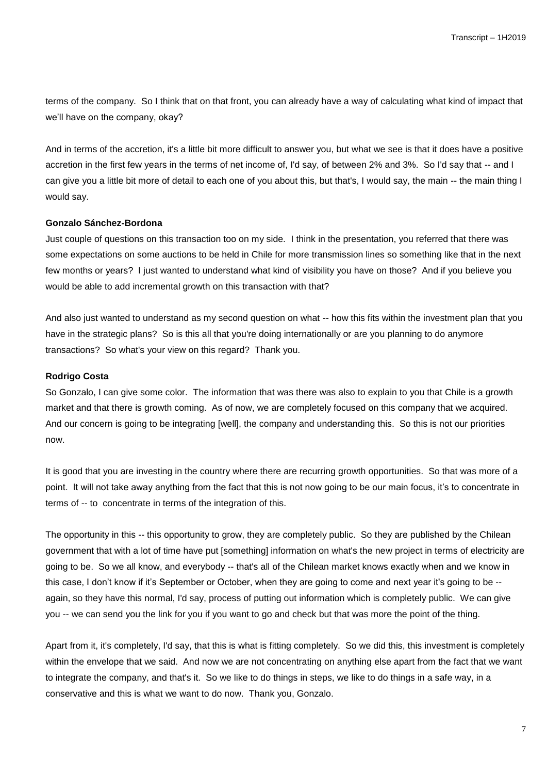terms of the company. So I think that on that front, you can already have a way of calculating what kind of impact that we'll have on the company, okay?

And in terms of the accretion, it's a little bit more difficult to answer you, but what we see is that it does have a positive accretion in the first few years in the terms of net income of, I'd say, of between 2% and 3%. So I'd say that -- and I can give you a little bit more of detail to each one of you about this, but that's, I would say, the main -- the main thing I would say.

#### **Gonzalo Sánchez-Bordona**

Just couple of questions on this transaction too on my side. I think in the presentation, you referred that there was some expectations on some auctions to be held in Chile for more transmission lines so something like that in the next few months or years? I just wanted to understand what kind of visibility you have on those? And if you believe you would be able to add incremental growth on this transaction with that?

And also just wanted to understand as my second question on what -- how this fits within the investment plan that you have in the strategic plans? So is this all that you're doing internationally or are you planning to do anymore transactions? So what's your view on this regard? Thank you.

#### **Rodrigo Costa**

So Gonzalo, I can give some color. The information that was there was also to explain to you that Chile is a growth market and that there is growth coming. As of now, we are completely focused on this company that we acquired. And our concern is going to be integrating [well], the company and understanding this. So this is not our priorities now.

It is good that you are investing in the country where there are recurring growth opportunities. So that was more of a point. It will not take away anything from the fact that this is not now going to be our main focus, it's to concentrate in terms of -- to concentrate in terms of the integration of this.

The opportunity in this -- this opportunity to grow, they are completely public. So they are published by the Chilean government that with a lot of time have put [something] information on what's the new project in terms of electricity are going to be. So we all know, and everybody -- that's all of the Chilean market knows exactly when and we know in this case, I don't know if it's September or October, when they are going to come and next year it's going to be - again, so they have this normal, I'd say, process of putting out information which is completely public. We can give you -- we can send you the link for you if you want to go and check but that was more the point of the thing.

Apart from it, it's completely, I'd say, that this is what is fitting completely. So we did this, this investment is completely within the envelope that we said. And now we are not concentrating on anything else apart from the fact that we want to integrate the company, and that's it. So we like to do things in steps, we like to do things in a safe way, in a conservative and this is what we want to do now. Thank you, Gonzalo.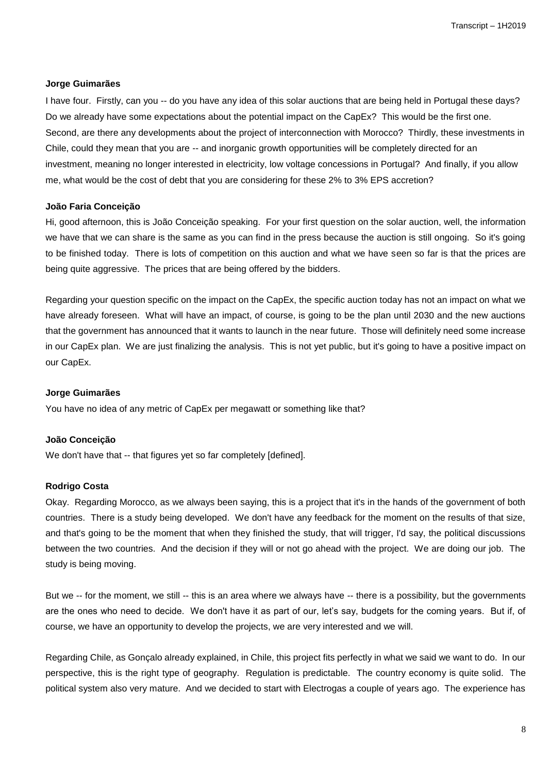#### **Jorge Guimarães**

I have four. Firstly, can you -- do you have any idea of this solar auctions that are being held in Portugal these days? Do we already have some expectations about the potential impact on the CapEx? This would be the first one. Second, are there any developments about the project of interconnection with Morocco? Thirdly, these investments in Chile, could they mean that you are -- and inorganic growth opportunities will be completely directed for an investment, meaning no longer interested in electricity, low voltage concessions in Portugal? And finally, if you allow me, what would be the cost of debt that you are considering for these 2% to 3% EPS accretion?

#### **João Faria Conceição**

Hi, good afternoon, this is João Conceição speaking. For your first question on the solar auction, well, the information we have that we can share is the same as you can find in the press because the auction is still ongoing. So it's going to be finished today. There is lots of competition on this auction and what we have seen so far is that the prices are being quite aggressive. The prices that are being offered by the bidders.

Regarding your question specific on the impact on the CapEx, the specific auction today has not an impact on what we have already foreseen. What will have an impact, of course, is going to be the plan until 2030 and the new auctions that the government has announced that it wants to launch in the near future. Those will definitely need some increase in our CapEx plan. We are just finalizing the analysis. This is not yet public, but it's going to have a positive impact on our CapEx.

#### **Jorge Guimarães**

You have no idea of any metric of CapEx per megawatt or something like that?

#### **João Conceição**

We don't have that -- that figures yet so far completely [defined].

#### **Rodrigo Costa**

Okay. Regarding Morocco, as we always been saying, this is a project that it's in the hands of the government of both countries. There is a study being developed. We don't have any feedback for the moment on the results of that size, and that's going to be the moment that when they finished the study, that will trigger, I'd say, the political discussions between the two countries. And the decision if they will or not go ahead with the project. We are doing our job. The study is being moving.

But we -- for the moment, we still -- this is an area where we always have -- there is a possibility, but the governments are the ones who need to decide. We don't have it as part of our, let's say, budgets for the coming years. But if, of course, we have an opportunity to develop the projects, we are very interested and we will.

Regarding Chile, as Gonçalo already explained, in Chile, this project fits perfectly in what we said we want to do. In our perspective, this is the right type of geography. Regulation is predictable. The country economy is quite solid. The political system also very mature. And we decided to start with Electrogas a couple of years ago. The experience has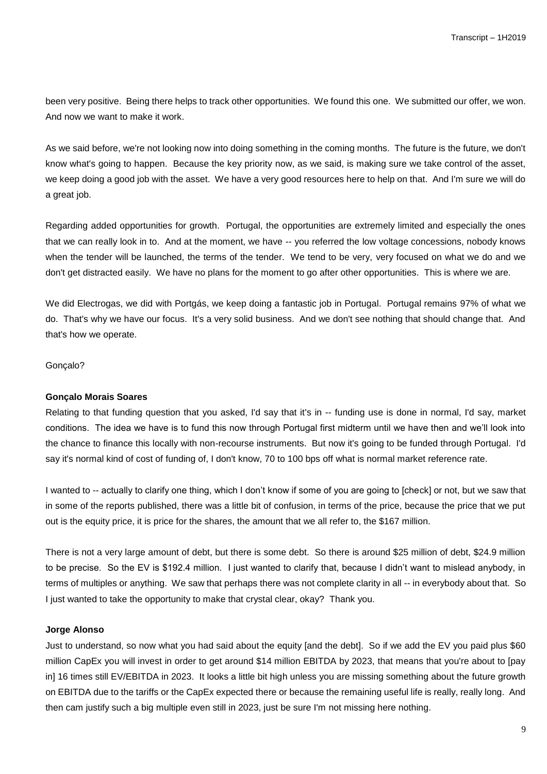been very positive. Being there helps to track other opportunities. We found this one. We submitted our offer, we won. And now we want to make it work.

As we said before, we're not looking now into doing something in the coming months. The future is the future, we don't know what's going to happen. Because the key priority now, as we said, is making sure we take control of the asset, we keep doing a good job with the asset. We have a very good resources here to help on that. And I'm sure we will do a great job.

Regarding added opportunities for growth. Portugal, the opportunities are extremely limited and especially the ones that we can really look in to. And at the moment, we have -- you referred the low voltage concessions, nobody knows when the tender will be launched, the terms of the tender. We tend to be very, very focused on what we do and we don't get distracted easily. We have no plans for the moment to go after other opportunities. This is where we are.

We did Electrogas, we did with Portgás, we keep doing a fantastic job in Portugal. Portugal remains 97% of what we do. That's why we have our focus. It's a very solid business. And we don't see nothing that should change that. And that's how we operate.

#### Gonçalo?

#### **Gonçalo Morais Soares**

Relating to that funding question that you asked, I'd say that it's in -- funding use is done in normal, I'd say, market conditions. The idea we have is to fund this now through Portugal first midterm until we have then and we'll look into the chance to finance this locally with non-recourse instruments. But now it's going to be funded through Portugal. I'd say it's normal kind of cost of funding of, I don't know, 70 to 100 bps off what is normal market reference rate.

I wanted to -- actually to clarify one thing, which I don't know if some of you are going to [check] or not, but we saw that in some of the reports published, there was a little bit of confusion, in terms of the price, because the price that we put out is the equity price, it is price for the shares, the amount that we all refer to, the \$167 million.

There is not a very large amount of debt, but there is some debt. So there is around \$25 million of debt, \$24.9 million to be precise. So the EV is \$192.4 million. I just wanted to clarify that, because I didn't want to mislead anybody, in terms of multiples or anything. We saw that perhaps there was not complete clarity in all -- in everybody about that. So I just wanted to take the opportunity to make that crystal clear, okay? Thank you.

#### **Jorge Alonso**

Just to understand, so now what you had said about the equity [and the debt]. So if we add the EV you paid plus \$60 million CapEx you will invest in order to get around \$14 million EBITDA by 2023, that means that you're about to [pay in] 16 times still EV/EBITDA in 2023. It looks a little bit high unless you are missing something about the future growth on EBITDA due to the tariffs or the CapEx expected there or because the remaining useful life is really, really long. And then cam justify such a big multiple even still in 2023, just be sure I'm not missing here nothing.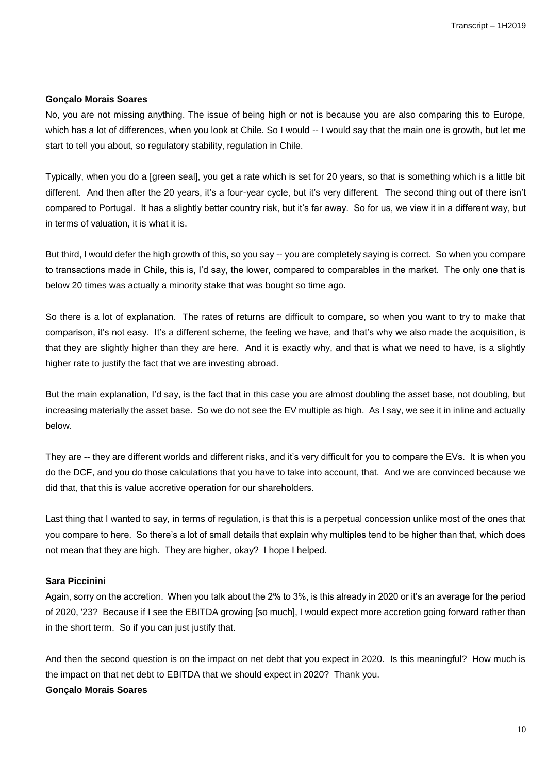#### **Gonçalo Morais Soares**

No, you are not missing anything. The issue of being high or not is because you are also comparing this to Europe, which has a lot of differences, when you look at Chile. So I would -- I would say that the main one is growth, but let me start to tell you about, so regulatory stability, regulation in Chile.

Typically, when you do a [green seal], you get a rate which is set for 20 years, so that is something which is a little bit different. And then after the 20 years, it's a four-year cycle, but it's very different. The second thing out of there isn't compared to Portugal. It has a slightly better country risk, but it's far away. So for us, we view it in a different way, but in terms of valuation, it is what it is.

But third, I would defer the high growth of this, so you say -- you are completely saying is correct. So when you compare to transactions made in Chile, this is, I'd say, the lower, compared to comparables in the market. The only one that is below 20 times was actually a minority stake that was bought so time ago.

So there is a lot of explanation. The rates of returns are difficult to compare, so when you want to try to make that comparison, it's not easy. It's a different scheme, the feeling we have, and that's why we also made the acquisition, is that they are slightly higher than they are here. And it is exactly why, and that is what we need to have, is a slightly higher rate to justify the fact that we are investing abroad.

But the main explanation, I'd say, is the fact that in this case you are almost doubling the asset base, not doubling, but increasing materially the asset base. So we do not see the EV multiple as high. As I say, we see it in inline and actually below.

They are -- they are different worlds and different risks, and it's very difficult for you to compare the EVs. It is when you do the DCF, and you do those calculations that you have to take into account, that. And we are convinced because we did that, that this is value accretive operation for our shareholders.

Last thing that I wanted to say, in terms of regulation, is that this is a perpetual concession unlike most of the ones that you compare to here. So there's a lot of small details that explain why multiples tend to be higher than that, which does not mean that they are high. They are higher, okay? I hope I helped.

#### **Sara Piccinini**

Again, sorry on the accretion. When you talk about the 2% to 3%, is this already in 2020 or it's an average for the period of 2020, '23? Because if I see the EBITDA growing [so much], I would expect more accretion going forward rather than in the short term. So if you can just justify that.

And then the second question is on the impact on net debt that you expect in 2020. Is this meaningful? How much is the impact on that net debt to EBITDA that we should expect in 2020? Thank you.

#### **Gonçalo Morais Soares**